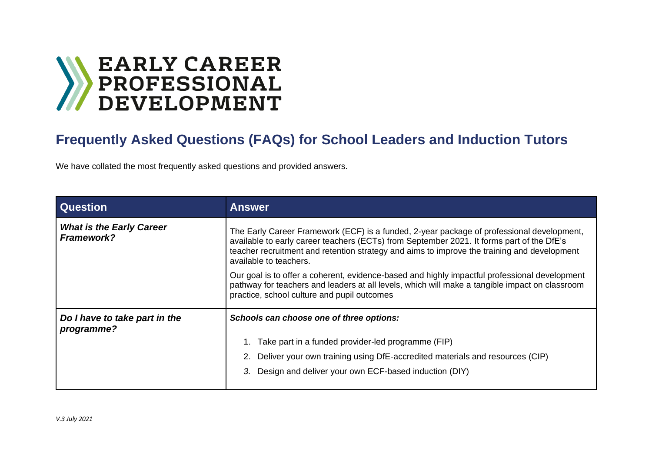

## **Frequently Asked Questions (FAQs) for School Leaders and Induction Tutors**

We have collated the most frequently asked questions and provided answers.

| <b>Question</b>                               | <b>Answer</b>                                                                                                                                                                                                                                                                                                   |
|-----------------------------------------------|-----------------------------------------------------------------------------------------------------------------------------------------------------------------------------------------------------------------------------------------------------------------------------------------------------------------|
| <b>What is the Early Career</b><br>Framework? | The Early Career Framework (ECF) is a funded, 2-year package of professional development,<br>available to early career teachers (ECTs) from September 2021. It forms part of the DfE's<br>teacher recruitment and retention strategy and aims to improve the training and development<br>available to teachers. |
|                                               | Our goal is to offer a coherent, evidence-based and highly impactful professional development<br>pathway for teachers and leaders at all levels, which will make a tangible impact on classroom<br>practice, school culture and pupil outcomes                                                                  |
| Do I have to take part in the<br>programme?   | Schools can choose one of three options:                                                                                                                                                                                                                                                                        |
|                                               | 1. Take part in a funded provider-led programme (FIP)                                                                                                                                                                                                                                                           |
|                                               | 2. Deliver your own training using DfE-accredited materials and resources (CIP)                                                                                                                                                                                                                                 |
|                                               | Design and deliver your own ECF-based induction (DIY)                                                                                                                                                                                                                                                           |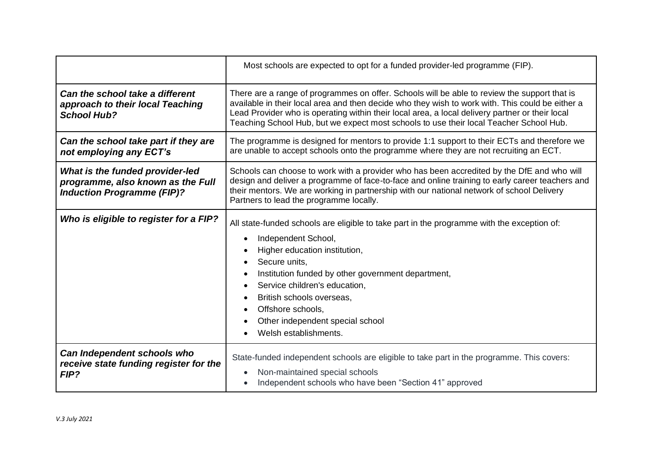|                                                                                                           | Most schools are expected to opt for a funded provider-led programme (FIP).                                                                                                                                                                                                                                                                                                                   |
|-----------------------------------------------------------------------------------------------------------|-----------------------------------------------------------------------------------------------------------------------------------------------------------------------------------------------------------------------------------------------------------------------------------------------------------------------------------------------------------------------------------------------|
| Can the school take a different<br>approach to their local Teaching<br><b>School Hub?</b>                 | There are a range of programmes on offer. Schools will be able to review the support that is<br>available in their local area and then decide who they wish to work with. This could be either a<br>Lead Provider who is operating within their local area, a local delivery partner or their local<br>Teaching School Hub, but we expect most schools to use their local Teacher School Hub. |
| Can the school take part if they are<br>not employing any ECT's                                           | The programme is designed for mentors to provide 1:1 support to their ECTs and therefore we<br>are unable to accept schools onto the programme where they are not recruiting an ECT.                                                                                                                                                                                                          |
| What is the funded provider-led<br>programme, also known as the Full<br><b>Induction Programme (FIP)?</b> | Schools can choose to work with a provider who has been accredited by the DfE and who will<br>design and deliver a programme of face-to-face and online training to early career teachers and<br>their mentors. We are working in partnership with our national network of school Delivery<br>Partners to lead the programme locally.                                                         |
| Who is eligible to register for a FIP?                                                                    | All state-funded schools are eligible to take part in the programme with the exception of:<br>Independent School,<br>Higher education institution,<br>Secure units,<br>Institution funded by other government department,<br>Service children's education,<br>British schools overseas,<br>Offshore schools,<br>Other independent special school<br>Welsh establishments.                     |
| Can Independent schools who<br>receive state funding register for the<br>FIP?                             | State-funded independent schools are eligible to take part in the programme. This covers:<br>Non-maintained special schools<br>Independent schools who have been "Section 41" approved                                                                                                                                                                                                        |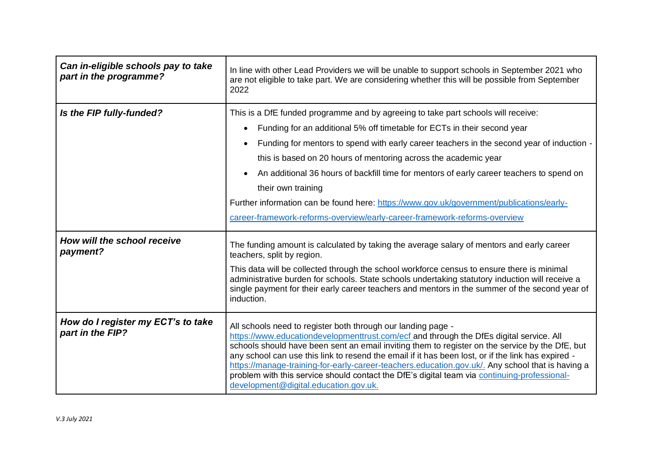| Can in-eligible schools pay to take<br>part in the programme? | In line with other Lead Providers we will be unable to support schools in September 2021 who<br>are not eligible to take part. We are considering whether this will be possible from September<br>2022                                                                                                                                                                                                                                                                                                                                                                                                        |
|---------------------------------------------------------------|---------------------------------------------------------------------------------------------------------------------------------------------------------------------------------------------------------------------------------------------------------------------------------------------------------------------------------------------------------------------------------------------------------------------------------------------------------------------------------------------------------------------------------------------------------------------------------------------------------------|
| Is the FIP fully-funded?                                      | This is a DfE funded programme and by agreeing to take part schools will receive:<br>Funding for an additional 5% off timetable for ECTs in their second year<br>Funding for mentors to spend with early career teachers in the second year of induction -<br>this is based on 20 hours of mentoring across the academic year                                                                                                                                                                                                                                                                                 |
|                                                               | An additional 36 hours of backfill time for mentors of early career teachers to spend on<br>their own training<br>Further information can be found here: https://www.gov.uk/government/publications/early-<br>career-framework-reforms-overview/early-career-framework-reforms-overview                                                                                                                                                                                                                                                                                                                       |
| How will the school receive<br>payment?                       | The funding amount is calculated by taking the average salary of mentors and early career<br>teachers, split by region.<br>This data will be collected through the school workforce census to ensure there is minimal<br>administrative burden for schools. State schools undertaking statutory induction will receive a<br>single payment for their early career teachers and mentors in the summer of the second year of<br>induction.                                                                                                                                                                      |
| How do I register my ECT's to take<br>part in the FIP?        | All schools need to register both through our landing page -<br>https://www.educationdevelopmenttrust.com/ecf and through the DfEs digital service. All<br>schools should have been sent an email inviting them to register on the service by the DfE, but<br>any school can use this link to resend the email if it has been lost, or if the link has expired -<br>https://manage-training-for-early-career-teachers.education.gov.uk/. Any school that is having a<br>problem with this service should contact the DfE's digital team via continuing-professional-<br>development@digital.education.gov.uk. |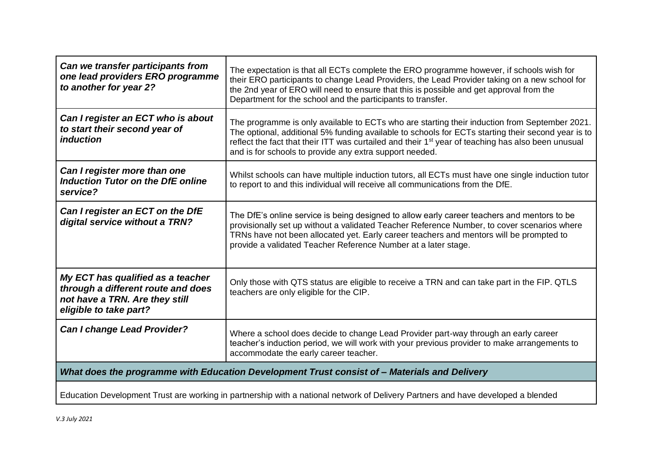| Can we transfer participants from<br>one lead providers ERO programme<br>to another for year 2?                                     | The expectation is that all ECTs complete the ERO programme however, if schools wish for<br>their ERO participants to change Lead Providers, the Lead Provider taking on a new school for<br>the 2nd year of ERO will need to ensure that this is possible and get approval from the<br>Department for the school and the participants to transfer.                              |
|-------------------------------------------------------------------------------------------------------------------------------------|----------------------------------------------------------------------------------------------------------------------------------------------------------------------------------------------------------------------------------------------------------------------------------------------------------------------------------------------------------------------------------|
| Can I register an ECT who is about<br>to start their second year of<br><i>induction</i>                                             | The programme is only available to ECTs who are starting their induction from September 2021.<br>The optional, additional 5% funding available to schools for ECTs starting their second year is to<br>reflect the fact that their ITT was curtailed and their 1 <sup>st</sup> year of teaching has also been unusual<br>and is for schools to provide any extra support needed. |
| Can I register more than one<br><b>Induction Tutor on the DfE online</b><br>service?                                                | Whilst schools can have multiple induction tutors, all ECTs must have one single induction tutor<br>to report to and this individual will receive all communications from the DfE.                                                                                                                                                                                               |
| Can I register an ECT on the DfE<br>digital service without a TRN?                                                                  | The DfE's online service is being designed to allow early career teachers and mentors to be<br>provisionally set up without a validated Teacher Reference Number, to cover scenarios where<br>TRNs have not been allocated yet. Early career teachers and mentors will be prompted to<br>provide a validated Teacher Reference Number at a later stage.                          |
| My ECT has qualified as a teacher<br>through a different route and does<br>not have a TRN. Are they still<br>eligible to take part? | Only those with QTS status are eligible to receive a TRN and can take part in the FIP. QTLS<br>teachers are only eligible for the CIP.                                                                                                                                                                                                                                           |
| <b>Can I change Lead Provider?</b>                                                                                                  | Where a school does decide to change Lead Provider part-way through an early career<br>teacher's induction period, we will work with your previous provider to make arrangements to<br>accommodate the early career teacher.                                                                                                                                                     |
| What does the programme with Education Development Trust consist of - Materials and Delivery                                        |                                                                                                                                                                                                                                                                                                                                                                                  |
|                                                                                                                                     | Education Development Trust are working in partnership with a national network of Delivery Partners and have developed a blended                                                                                                                                                                                                                                                 |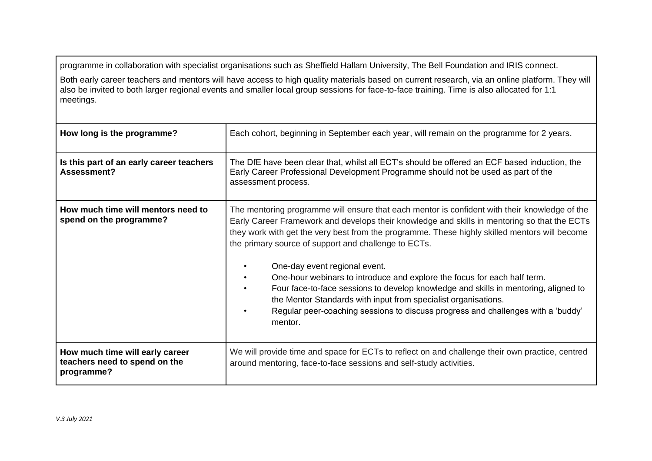programme in collaboration with specialist organisations such as Sheffield Hallam University, The Bell Foundation and IRIS connect.

Both early career teachers and mentors will have access to high quality materials based on current research, via an online platform. They will also be invited to both larger regional events and smaller local group sessions for face-to-face training. Time is also allocated for 1:1 meetings.

| How long is the programme?                                                     | Each cohort, beginning in September each year, will remain on the programme for 2 years.                                                                                                                                                                                                                                                                                                                                                                                                                                                                                                                                                                                                                                    |
|--------------------------------------------------------------------------------|-----------------------------------------------------------------------------------------------------------------------------------------------------------------------------------------------------------------------------------------------------------------------------------------------------------------------------------------------------------------------------------------------------------------------------------------------------------------------------------------------------------------------------------------------------------------------------------------------------------------------------------------------------------------------------------------------------------------------------|
| Is this part of an early career teachers<br>Assessment?                        | The DfE have been clear that, whilst all ECT's should be offered an ECF based induction, the<br>Early Career Professional Development Programme should not be used as part of the<br>assessment process.                                                                                                                                                                                                                                                                                                                                                                                                                                                                                                                    |
| How much time will mentors need to<br>spend on the programme?                  | The mentoring programme will ensure that each mentor is confident with their knowledge of the<br>Early Career Framework and develops their knowledge and skills in mentoring so that the ECTs<br>they work with get the very best from the programme. These highly skilled mentors will become<br>the primary source of support and challenge to ECTs.<br>One-day event regional event.<br>One-hour webinars to introduce and explore the focus for each half term.<br>Four face-to-face sessions to develop knowledge and skills in mentoring, aligned to<br>the Mentor Standards with input from specialist organisations.<br>Regular peer-coaching sessions to discuss progress and challenges with a 'buddy'<br>mentor. |
| How much time will early career<br>teachers need to spend on the<br>programme? | We will provide time and space for ECTs to reflect on and challenge their own practice, centred<br>around mentoring, face-to-face sessions and self-study activities.                                                                                                                                                                                                                                                                                                                                                                                                                                                                                                                                                       |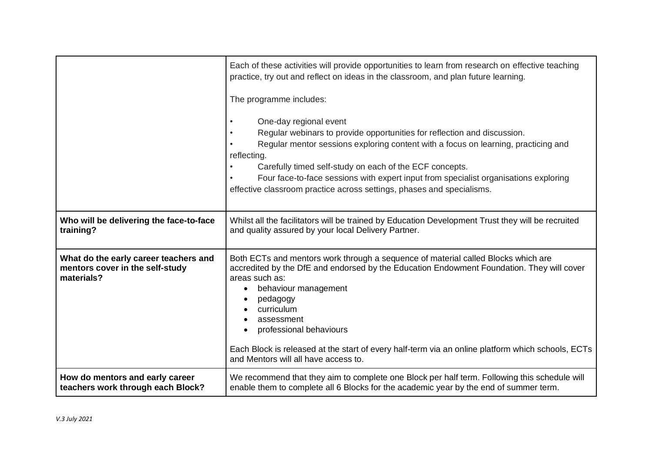|                                                                                        | Each of these activities will provide opportunities to learn from research on effective teaching<br>practice, try out and reflect on ideas in the classroom, and plan future learning.<br>The programme includes:<br>One-day regional event<br>Regular webinars to provide opportunities for reflection and discussion.<br>Regular mentor sessions exploring content with a focus on learning, practicing and<br>reflecting.<br>Carefully timed self-study on each of the ECF concepts.<br>Four face-to-face sessions with expert input from specialist organisations exploring<br>effective classroom practice across settings, phases and specialisms. |
|----------------------------------------------------------------------------------------|----------------------------------------------------------------------------------------------------------------------------------------------------------------------------------------------------------------------------------------------------------------------------------------------------------------------------------------------------------------------------------------------------------------------------------------------------------------------------------------------------------------------------------------------------------------------------------------------------------------------------------------------------------|
| Who will be delivering the face-to-face                                                | Whilst all the facilitators will be trained by Education Development Trust they will be recruited                                                                                                                                                                                                                                                                                                                                                                                                                                                                                                                                                        |
| training?                                                                              | and quality assured by your local Delivery Partner.                                                                                                                                                                                                                                                                                                                                                                                                                                                                                                                                                                                                      |
| What do the early career teachers and<br>mentors cover in the self-study<br>materials? | Both ECTs and mentors work through a sequence of material called Blocks which are<br>accredited by the DfE and endorsed by the Education Endowment Foundation. They will cover<br>areas such as:<br>behaviour management<br>pedagogy<br>curriculum<br>assessment<br>professional behaviours<br>Each Block is released at the start of every half-term via an online platform which schools, ECTs<br>and Mentors will all have access to.                                                                                                                                                                                                                 |
| How do mentors and early career                                                        | We recommend that they aim to complete one Block per half term. Following this schedule will                                                                                                                                                                                                                                                                                                                                                                                                                                                                                                                                                             |
| teachers work through each Block?                                                      | enable them to complete all 6 Blocks for the academic year by the end of summer term.                                                                                                                                                                                                                                                                                                                                                                                                                                                                                                                                                                    |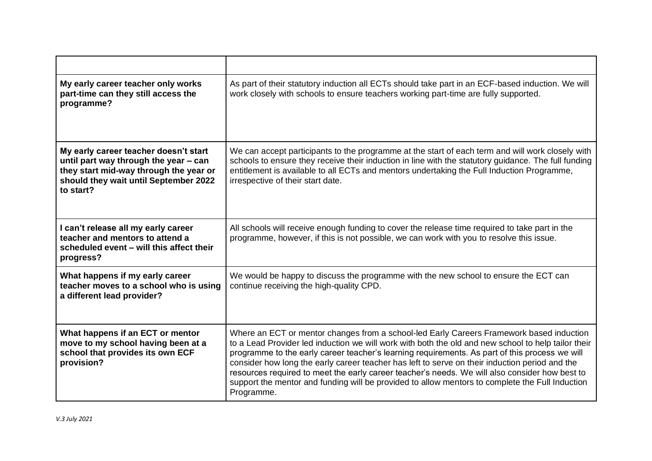| My early career teacher only works<br>part-time can they still access the<br>programme?                                                                                        | As part of their statutory induction all ECTs should take part in an ECF-based induction. We will<br>work closely with schools to ensure teachers working part-time are fully supported.                                                                                                                                                                                                                                                                                                                                                                                                                               |
|--------------------------------------------------------------------------------------------------------------------------------------------------------------------------------|------------------------------------------------------------------------------------------------------------------------------------------------------------------------------------------------------------------------------------------------------------------------------------------------------------------------------------------------------------------------------------------------------------------------------------------------------------------------------------------------------------------------------------------------------------------------------------------------------------------------|
| My early career teacher doesn't start<br>until part way through the year - can<br>they start mid-way through the year or<br>should they wait until September 2022<br>to start? | We can accept participants to the programme at the start of each term and will work closely with<br>schools to ensure they receive their induction in line with the statutory guidance. The full funding<br>entitlement is available to all ECTs and mentors undertaking the Full Induction Programme,<br>irrespective of their start date.                                                                                                                                                                                                                                                                            |
| I can't release all my early career<br>teacher and mentors to attend a<br>scheduled event - will this affect their<br>progress?                                                | All schools will receive enough funding to cover the release time required to take part in the<br>programme, however, if this is not possible, we can work with you to resolve this issue.                                                                                                                                                                                                                                                                                                                                                                                                                             |
| What happens if my early career<br>teacher moves to a school who is using<br>a different lead provider?                                                                        | We would be happy to discuss the programme with the new school to ensure the ECT can<br>continue receiving the high-quality CPD.                                                                                                                                                                                                                                                                                                                                                                                                                                                                                       |
| What happens if an ECT or mentor<br>move to my school having been at a<br>school that provides its own ECF<br>provision?                                                       | Where an ECT or mentor changes from a school-led Early Careers Framework based induction<br>to a Lead Provider led induction we will work with both the old and new school to help tailor their<br>programme to the early career teacher's learning requirements. As part of this process we will<br>consider how long the early career teacher has left to serve on their induction period and the<br>resources required to meet the early career teacher's needs. We will also consider how best to<br>support the mentor and funding will be provided to allow mentors to complete the Full Induction<br>Programme. |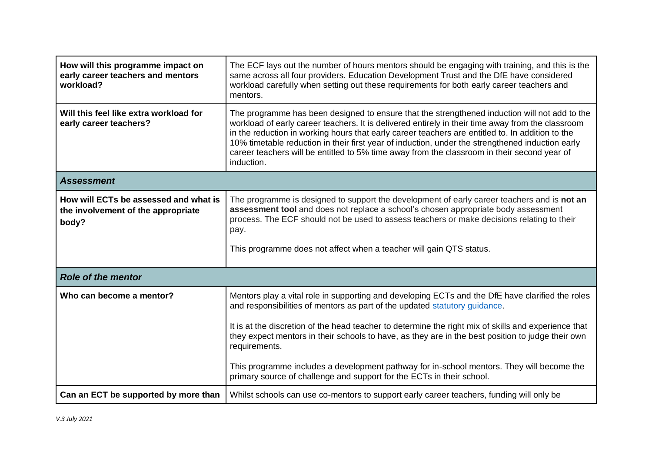| How will this programme impact on<br>early career teachers and mentors<br>workload?  | The ECF lays out the number of hours mentors should be engaging with training, and this is the<br>same across all four providers. Education Development Trust and the DfE have considered<br>workload carefully when setting out these requirements for both early career teachers and<br>mentors.                                                                                                                                                                                                                                                                                 |  |
|--------------------------------------------------------------------------------------|------------------------------------------------------------------------------------------------------------------------------------------------------------------------------------------------------------------------------------------------------------------------------------------------------------------------------------------------------------------------------------------------------------------------------------------------------------------------------------------------------------------------------------------------------------------------------------|--|
| Will this feel like extra workload for<br>early career teachers?                     | The programme has been designed to ensure that the strengthened induction will not add to the<br>workload of early career teachers. It is delivered entirely in their time away from the classroom<br>in the reduction in working hours that early career teachers are entitled to. In addition to the<br>10% timetable reduction in their first year of induction, under the strengthened induction early<br>career teachers will be entitled to 5% time away from the classroom in their second year of<br>induction.                                                            |  |
| <b>Assessment</b>                                                                    |                                                                                                                                                                                                                                                                                                                                                                                                                                                                                                                                                                                    |  |
| How will ECTs be assessed and what is<br>the involvement of the appropriate<br>body? | The programme is designed to support the development of early career teachers and is not an<br>assessment tool and does not replace a school's chosen appropriate body assessment<br>process. The ECF should not be used to assess teachers or make decisions relating to their<br>pay.<br>This programme does not affect when a teacher will gain QTS status.                                                                                                                                                                                                                     |  |
| <b>Role of the mentor</b>                                                            |                                                                                                                                                                                                                                                                                                                                                                                                                                                                                                                                                                                    |  |
| Who can become a mentor?                                                             | Mentors play a vital role in supporting and developing ECTs and the DfE have clarified the roles<br>and responsibilities of mentors as part of the updated statutory guidance.<br>It is at the discretion of the head teacher to determine the right mix of skills and experience that<br>they expect mentors in their schools to have, as they are in the best position to judge their own<br>requirements.<br>This programme includes a development pathway for in-school mentors. They will become the<br>primary source of challenge and support for the ECTs in their school. |  |
| Can an ECT be supported by more than                                                 | Whilst schools can use co-mentors to support early career teachers, funding will only be                                                                                                                                                                                                                                                                                                                                                                                                                                                                                           |  |